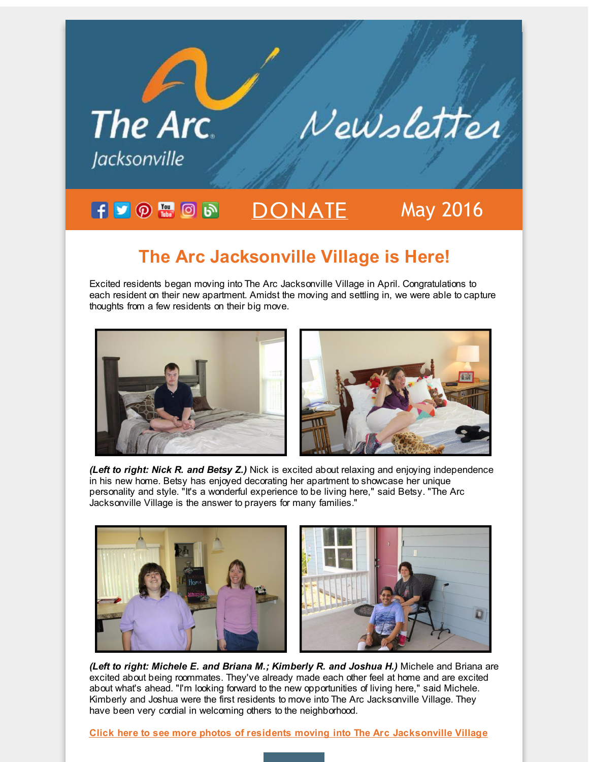

## **The Arc Jacksonville Village is Here!**

Excited residents began moving into The Arc Jacksonville Village in April. Congratulations to each resident on their new apartment. Amidst the moving and settling in, we were able to capture thoughts from a few residents on their big move.





*(Left to right: Nick R. and Betsy Z.)* Nick is excited about relaxing and enjoying independence in his new home. Betsy has enjoyed decorating her apartment to showcase her unique personality and style. "It's a wonderful experience to be living here," said Betsy. "The Arc Jacksonville Village is the answer to prayers for many families."



*(Left to right: Michele E. and Briana M.; Kimberly R. and Joshua H.)* Michele and Briana are excited about being roommates. They've already made each other feel at home and are excited about what's ahead. "I'm looking forward to the new opportunities of living here," said Michele. Kimberly and Joshua were the first residents to move into The Arc Jacksonville Village. They have been very cordial in welcoming others to the neighborhood.

**Click here to see more photos of residents moving into The Arc [Jacksonville](http://r20.rs6.net/tn.jsp?f=001jy5P_GmNGz8gi8SjbOzamD2BkfuL00mfoBhaCYVIv1HXV-vxyYZRABVTodo_MVEJeMMF1p23Ae9inZEDwieQyzr9hOPO9Y_sHBBtmZYdV5Ya8gtdSwB2Vt0eSpWqWPz1dSzE6w8AscFNz4ERh2rbmZl0usNP3aO4T0tcOy_D4ht3HFbcf7V7sTcjqQDG_bEpx3vjzkUBO7CMRjdhNI_fUR6-dawJoiJxjj1Qvc7BwbxjlYL-5vjrbB4RupvEXkCBbushciynlpmGaf2Uwlebpg==&c=&ch=) Village**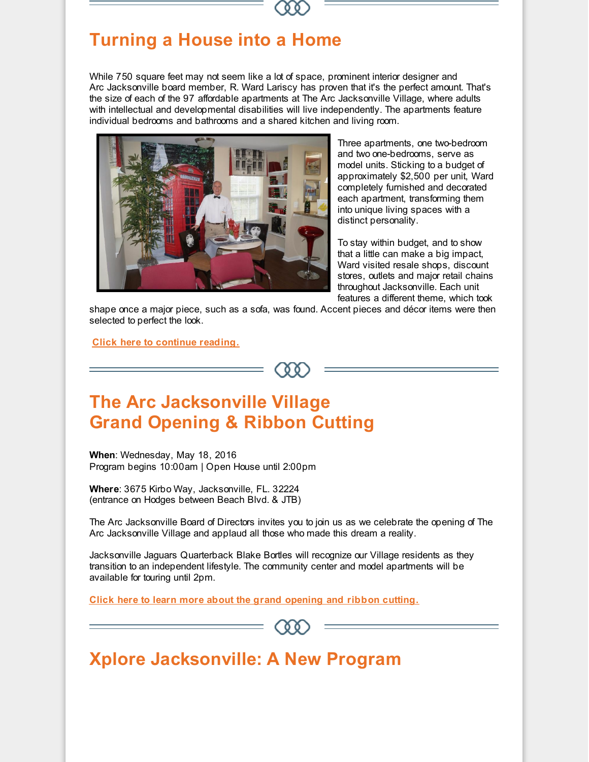## **Turning a House into a Home**

While 750 square feet may not seem like a lot of space, prominent interior designer and Arc Jacksonville board member, R. Ward Lariscy has proven that it's the perfect amount. That's the size of each of the 97 affordable apartments at The Arc Jacksonville Village, where adults with intellectual and developmental disabilities will live independently. The apartments feature individual bedrooms and bathrooms and a shared kitchen and living room.



Three apartments, one two-bedroom and two one-bedrooms, serve as model units. Sticking to a budget of approximately \$2,500 per unit, Ward completely furnished and decorated each apartment, transforming them into unique living spaces with a distinct personality.

To stay within budget, and to show that a little can make a big impact, Ward visited resale shops, discount stores, outlets and major retail chains throughout Jacksonville. Each unit features a different theme, which took

shape once a major piece, such as a sofa, was found. Accent pieces and décor items were then selected to perfect the look.

**Click here to [continue](http://r20.rs6.net/tn.jsp?f=001jy5P_GmNGz8gi8SjbOzamD2BkfuL00mfoBhaCYVIv1HXV-vxyYZRABVTodo_MVEJBE1FwNFlRGbQj3NODrs34lbiFa6QDnJLkaH7I1kDXhoMHY2LHWivxREDn4s23E-jLkoJTVXKlO04_lIm9QDcBn2sW3EHCUAjTEo259LSZRATEM6zYwM3dMPerQFbgIwDIfoXWf3h27XuapD_xexvlDDPnCwdkcR8R2CI3H0FqodCyU_h6M6nq6nblOsXaU-KFAeaDbhsq6gvqWoxGhtgnGpe_pIwt74G9T0uj9J-gVuncJ2K8UYD3XOzjhQobqZ5eaHMM7IkUJ993rDyUocreom3fW6So-538SNdqZPfVAnMvZvSWNwhEuyioAOYYq5f8jT6tGSUqVdK8C86PZxQhg==&c=&ch=) reading.**



## **The Arc Jacksonville Village Grand Opening & Ribbon Cutting**

**When**: Wednesday, May 18, 2016 Program begins 10:00am | Open House until 2:00pm

**Where**: 3675 Kirbo Way, Jacksonville, FL. 32224 (entrance on Hodges between Beach Blvd. & JTB)

The Arc Jacksonville Board of Directors invites you to join us as we celebrate the opening of The Arc Jacksonville Village and applaud all those who made this dream a reality.

Jacksonville Jaguars Quarterback Blake Bortles will recognize our Village residents as they transition to an independent lifestyle. The community center and model apartments will be available for touring until 2pm.

**Click here to learn more about the grand [opening](http://r20.rs6.net/tn.jsp?f=001jy5P_GmNGz8gi8SjbOzamD2BkfuL00mfoBhaCYVIv1HXV-vxyYZRABVTodo_MVEJrTE5ZuEcPgbn1xp7R3u_u9uCTICtuT4dTmqFjD7aygx2XQvyAuXDcQmKozPwMn72qwnmYEa91U9g8B9FNcEE7uzwji_rNnN5hh1MYLp0GU8APuG5E7TQdtvGddA7ZUGlhSe1bvGUj3mCBQsokqVLhBTmCIUiigueY5w6NlzJXYBdlxPJ02DsiGuDNeWIjsJ5CgqugT5NPLtxRU01ULdbawvqEGWRsaQ7DBERaO0JNe5yXfOVNWY6tg15XojpsLatT72FTITJC4ce0peOohO-0ffuxnfopCZ5-3w7sl9Un1hUTzGOI3tnfGMm_NPzOzP0aBMPgSIjYp8=&c=&ch=) and ribbon cutting.**



## **Xplore Jacksonville: A New Program**